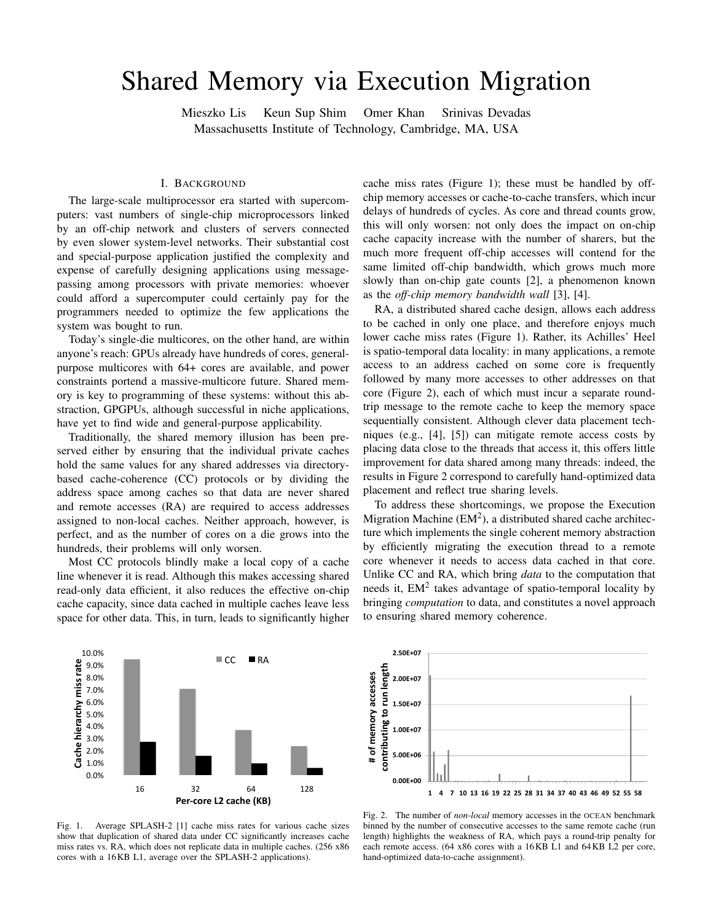# Shared Memory via Execution Migration

Mieszko Lis Keun Sup Shim Omer Khan Srinivas Devadas Massachusetts Institute of Technology, Cambridge, MA, USA

### I. BACKGROUND

The large-scale multiprocessor era started with supercomputers: vast numbers of single-chip microprocessors linked by an off-chip network and clusters of servers connected by even slower system-level networks. Their substantial cost and special-purpose application justified the complexity and expense of carefully designing applications using messagepassing among processors with private memories: whoever could afford a supercomputer could certainly pay for the programmers needed to optimize the few applications the system was bought to run.

Today's single-die multicores, on the other hand, are within anyone's reach: GPUs already have hundreds of cores, generalpurpose multicores with 64+ cores are available, and power constraints portend a massive-multicore future. Shared memory is key to programming of these systems: without this abstraction, GPGPUs, although successful in niche applications, have yet to find wide and general-purpose applicability.

Traditionally, the shared memory illusion has been preserved either by ensuring that the individual private caches hold the same values for any shared addresses via directorybased cache-coherence (CC) protocols or by dividing the address space among caches so that data are never shared and remote accesses (RA) are required to access addresses assigned to non-local caches. Neither approach, however, is perfect, and as the number of cores on a die grows into the hundreds, their problems will only worsen.

Most CC protocols blindly make a local copy of a cache line whenever it is read. Although this makes accessing shared read-only data efficient, it also reduces the effective on-chip cache capacity, since data cached in multiple caches leave less space for other data. This, in turn, leads to significantly higher

cache miss rates (Figure 1); these must be handled by offchip memory accesses or cache-to-cache transfers, which incur delays of hundreds of cycles. As core and thread counts grow, this will only worsen: not only does the impact on on-chip cache capacity increase with the number of sharers, but the much more frequent off-chip accesses will contend for the same limited off-chip bandwidth, which grows much more slowly than on-chip gate counts [2], a phenomenon known as the *off-chip memory bandwidth wall* [3], [4].

RA, a distributed shared cache design, allows each address to be cached in only one place, and therefore enjoys much lower cache miss rates (Figure 1). Rather, its Achilles' Heel is spatio-temporal data locality: in many applications, a remote access to an address cached on some core is frequently followed by many more accesses to other addresses on that core (Figure 2), each of which must incur a separate roundtrip message to the remote cache to keep the memory space sequentially consistent. Although clever data placement techniques (e.g., [4], [5]) can mitigate remote access costs by placing data close to the threads that access it, this offers little improvement for data shared among many threads: indeed, the results in Figure 2 correspond to carefully hand-optimized data placement and reflect true sharing levels.

To address these shortcomings, we propose the Execution Migration Machine  $(EM^2)$ , a distributed shared cache architecture which implements the single coherent memory abstraction by efficiently migrating the execution thread to a remote core whenever it needs to access data cached in that core. Unlike CC and RA, which bring *data* to the computation that needs it,  $EM<sup>2</sup>$  takes advantage of spatio-temporal locality by bringing *computation* to data, and constitutes a novel approach to ensuring shared memory coherence.



**2.50E+07 e s 2 00E 07 gth 2.00E+07ess len acc e 1.50E+07 run ory g to 1.00E+07 mem utin o f m 5 00E+06 5.00E+06#trib u con t 0.00E+00 1 4 7 10 13 16 19 22 25 28 31 34 37 40 43 46 49 52 55 58**

Fig. 1. Average SPLASH-2 [1] cache miss rates for various cache sizes show that duplication of shared data under CC significantly increases cache miss rates vs. RA, which does not replicate data in multiple caches. (256 x86 cores with a 16KB L1, average over the SPLASH-2 applications).

Fig. 2. The number of *non-local* memory accesses in the OCEAN benchmark binned by the number of consecutive accesses to the same remote cache (run length) highlights the weakness of RA, which pays a round-trip penalty for each remote access. (64 x86 cores with a 16KB L1 and 64KB L2 per core, hand-optimized data-to-cache assignment).